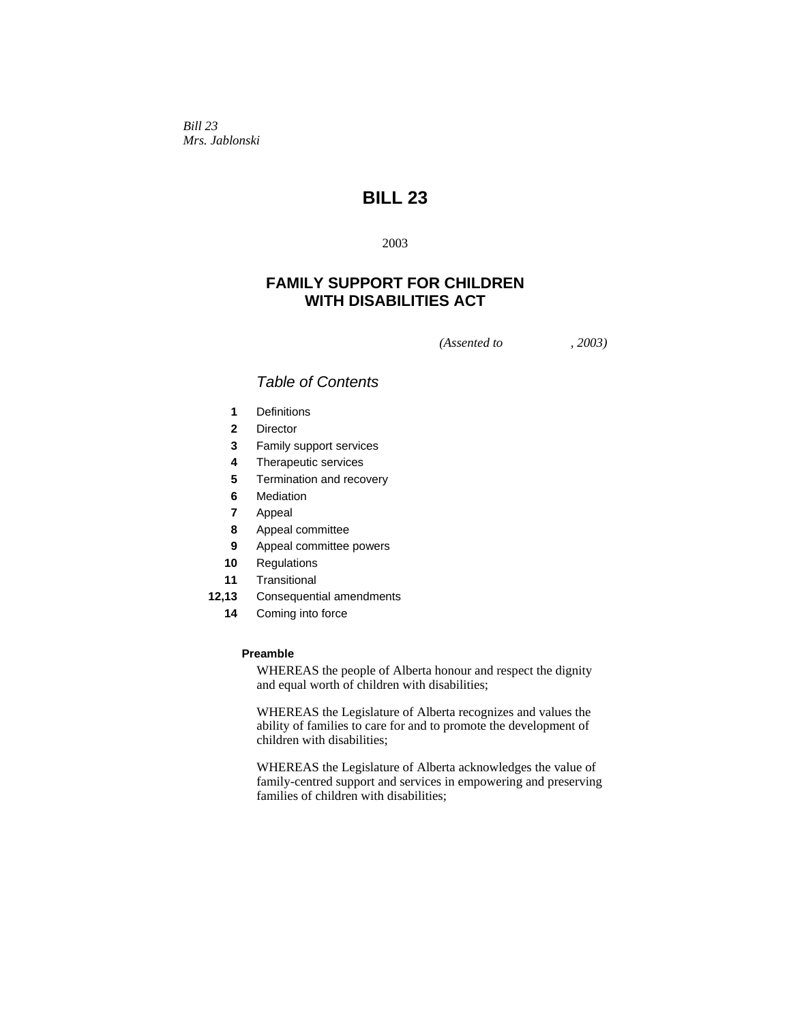*Bill 23 Mrs. Jablonski* 

# **BILL 23**

2003

## **FAMILY SUPPORT FOR CHILDREN WITH DISABILITIES ACT**

*(Assented to , 2003)* 

## *Table of Contents*

- **1** Definitions
- **2** Director
- **3** Family support services
- **4** Therapeutic services
- **5** Termination and recovery
- **6** Mediation
- **7** Appeal
- **8** Appeal committee
- **9** Appeal committee powers
- **10** Regulations
- **11** Transitional
- **12,13** Consequential amendments
	- **14** Coming into force

## **Preamble**

WHEREAS the people of Alberta honour and respect the dignity and equal worth of children with disabilities;

WHEREAS the Legislature of Alberta recognizes and values the ability of families to care for and to promote the development of children with disabilities;

WHEREAS the Legislature of Alberta acknowledges the value of family-centred support and services in empowering and preserving families of children with disabilities;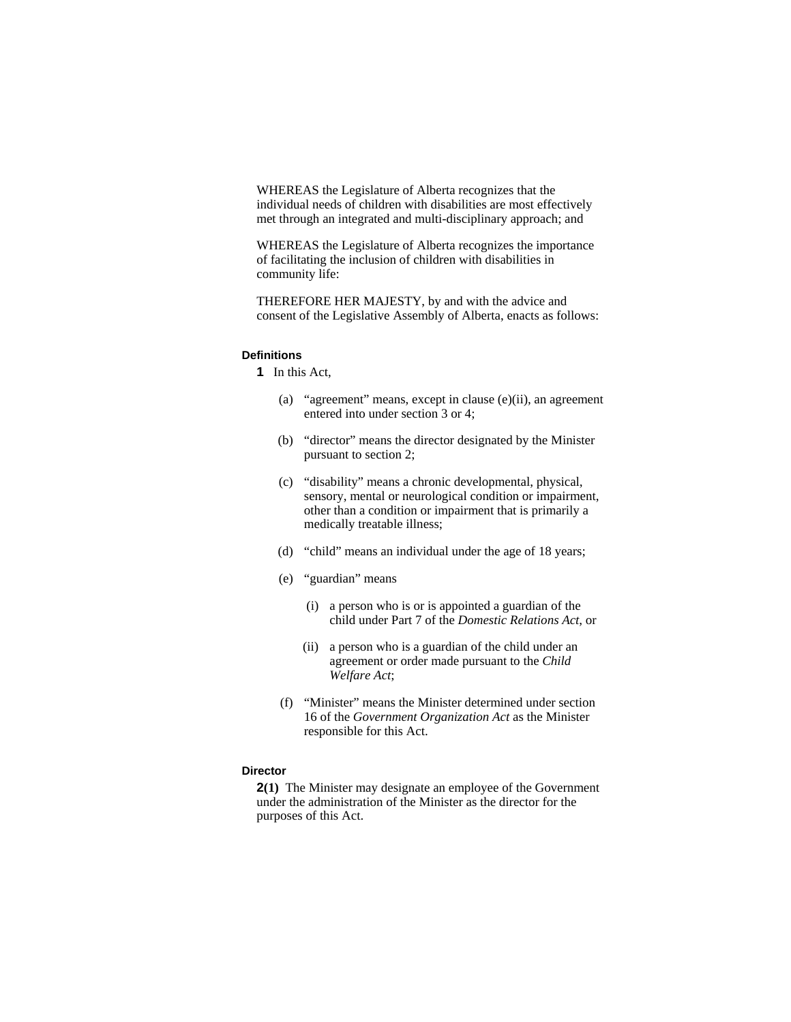WHEREAS the Legislature of Alberta recognizes that the individual needs of children with disabilities are most effectively met through an integrated and multi-disciplinary approach; and

WHEREAS the Legislature of Alberta recognizes the importance of facilitating the inclusion of children with disabilities in community life:

THEREFORE HER MAJESTY, by and with the advice and consent of the Legislative Assembly of Alberta, enacts as follows:

## **Definitions**

**1** In this Act,

- (a) "agreement" means, except in clause (e)(ii), an agreement entered into under section 3 or 4;
- (b) "director" means the director designated by the Minister pursuant to section 2;
- (c) "disability" means a chronic developmental, physical, sensory, mental or neurological condition or impairment, other than a condition or impairment that is primarily a medically treatable illness;
- (d) "child" means an individual under the age of 18 years;
- (e) "guardian" means
	- (i) a person who is or is appointed a guardian of the child under Part 7 of the *Domestic Relations Act*, or
	- (ii) a person who is a guardian of the child under an agreement or order made pursuant to the *Child Welfare Act*;
- (f) "Minister" means the Minister determined under section 16 of the *Government Organization Act* as the Minister responsible for this Act.

## **Director**

**2(1)** The Minister may designate an employee of the Government under the administration of the Minister as the director for the purposes of this Act.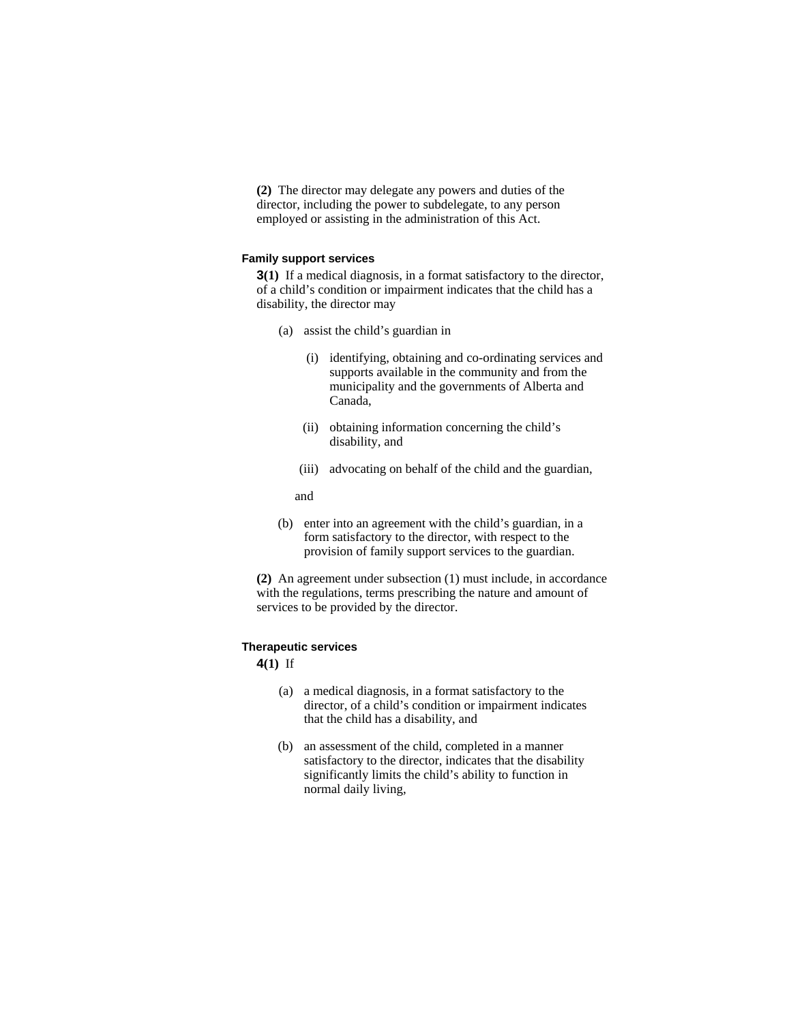**(2)** The director may delegate any powers and duties of the director, including the power to subdelegate, to any person employed or assisting in the administration of this Act.

#### **Family support services**

**3(1)** If a medical diagnosis, in a format satisfactory to the director, of a child's condition or impairment indicates that the child has a disability, the director may

- (a) assist the child's guardian in
	- (i) identifying, obtaining and co-ordinating services and supports available in the community and from the municipality and the governments of Alberta and Canada,
	- (ii) obtaining information concerning the child's disability, and
	- (iii) advocating on behalf of the child and the guardian,

and

 (b) enter into an agreement with the child's guardian, in a form satisfactory to the director, with respect to the provision of family support services to the guardian.

**(2)** An agreement under subsection (1) must include, in accordance with the regulations, terms prescribing the nature and amount of services to be provided by the director.

#### **Therapeutic services**

**4(1)** If

- (a) a medical diagnosis, in a format satisfactory to the director, of a child's condition or impairment indicates that the child has a disability, and
- (b) an assessment of the child, completed in a manner satisfactory to the director, indicates that the disability significantly limits the child's ability to function in normal daily living,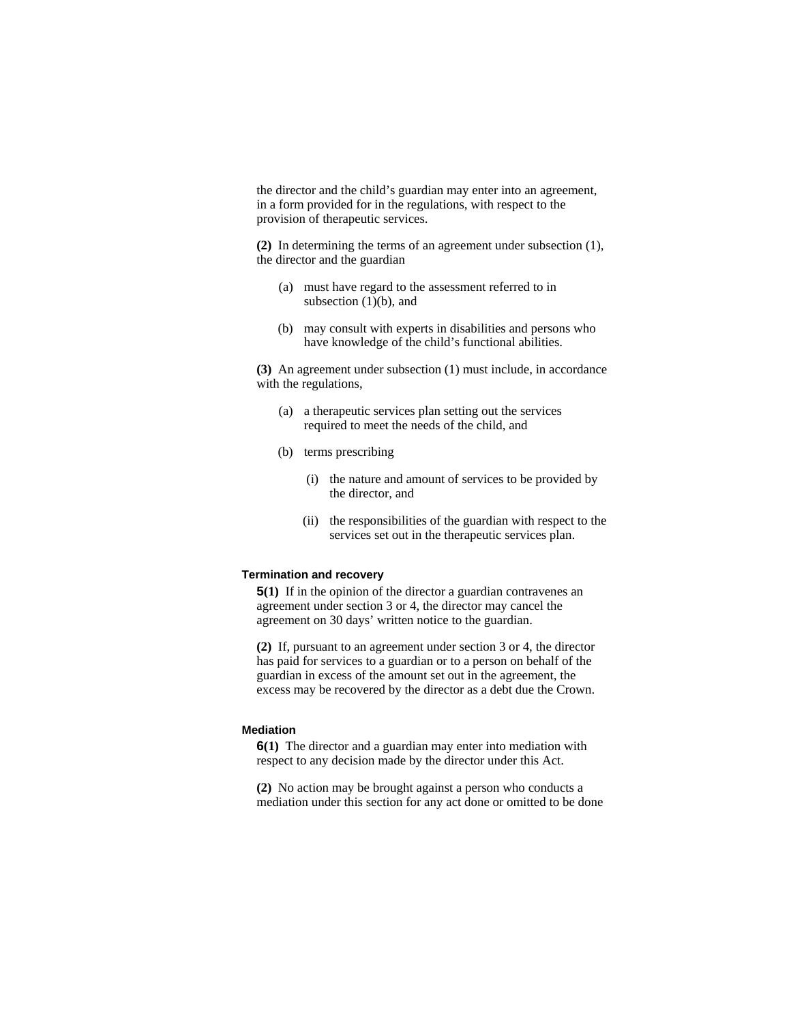the director and the child's guardian may enter into an agreement, in a form provided for in the regulations, with respect to the provision of therapeutic services.

**(2)** In determining the terms of an agreement under subsection (1), the director and the guardian

- (a) must have regard to the assessment referred to in subsection  $(1)(b)$ , and
- (b) may consult with experts in disabilities and persons who have knowledge of the child's functional abilities.

**(3)** An agreement under subsection (1) must include, in accordance with the regulations,

- (a) a therapeutic services plan setting out the services required to meet the needs of the child, and
- (b) terms prescribing
	- (i) the nature and amount of services to be provided by the director, and
	- (ii) the responsibilities of the guardian with respect to the services set out in the therapeutic services plan.

### **Termination and recovery**

**5(1)** If in the opinion of the director a guardian contravenes an agreement under section 3 or 4, the director may cancel the agreement on 30 days' written notice to the guardian.

**(2)** If, pursuant to an agreement under section 3 or 4, the director has paid for services to a guardian or to a person on behalf of the guardian in excess of the amount set out in the agreement, the excess may be recovered by the director as a debt due the Crown.

#### **Mediation**

**6(1)** The director and a guardian may enter into mediation with respect to any decision made by the director under this Act.

**(2)** No action may be brought against a person who conducts a mediation under this section for any act done or omitted to be done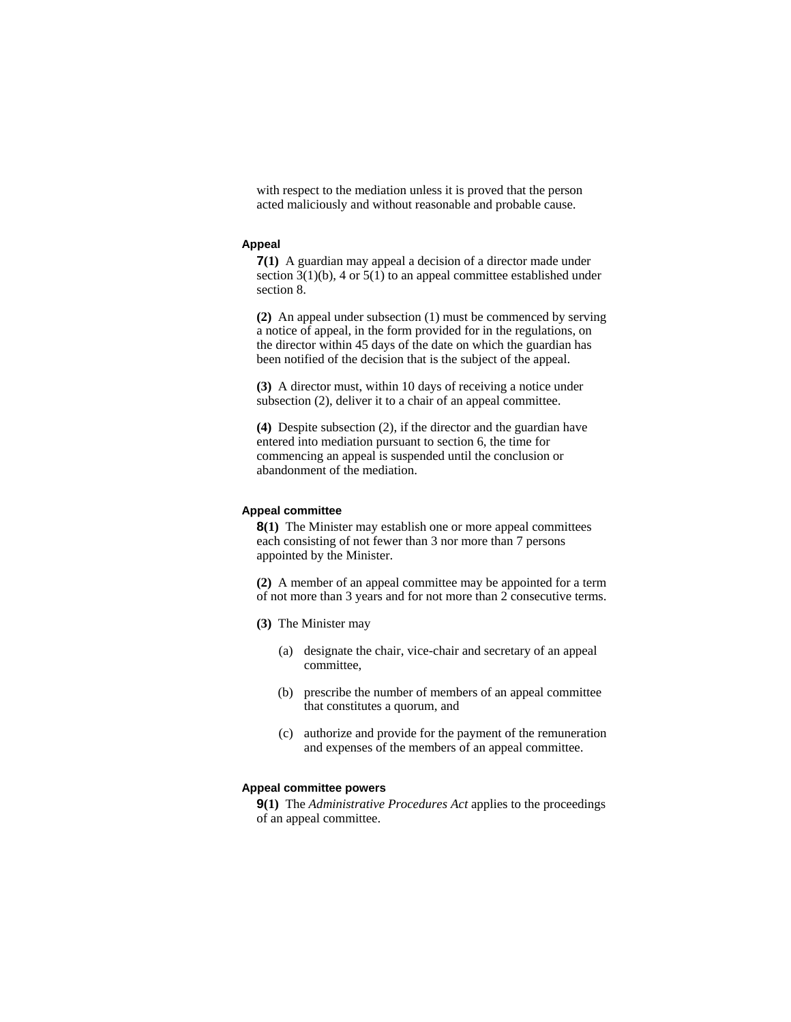with respect to the mediation unless it is proved that the person acted maliciously and without reasonable and probable cause.

#### **Appeal**

**7(1)** A guardian may appeal a decision of a director made under section  $3(1)(b)$ , 4 or  $5(1)$  to an appeal committee established under section 8.

**(2)** An appeal under subsection (1) must be commenced by serving a notice of appeal, in the form provided for in the regulations, on the director within 45 days of the date on which the guardian has been notified of the decision that is the subject of the appeal.

**(3)** A director must, within 10 days of receiving a notice under subsection (2), deliver it to a chair of an appeal committee.

**(4)** Despite subsection (2), if the director and the guardian have entered into mediation pursuant to section 6, the time for commencing an appeal is suspended until the conclusion or abandonment of the mediation.

### **Appeal committee**

**8(1)** The Minister may establish one or more appeal committees each consisting of not fewer than 3 nor more than 7 persons appointed by the Minister.

**(2)** A member of an appeal committee may be appointed for a term of not more than 3 years and for not more than 2 consecutive terms.

- **(3)** The Minister may
	- (a) designate the chair, vice-chair and secretary of an appeal committee,
	- (b) prescribe the number of members of an appeal committee that constitutes a quorum, and
	- (c) authorize and provide for the payment of the remuneration and expenses of the members of an appeal committee.

## **Appeal committee powers**

**9(1)** The *Administrative Procedures Act* applies to the proceedings of an appeal committee.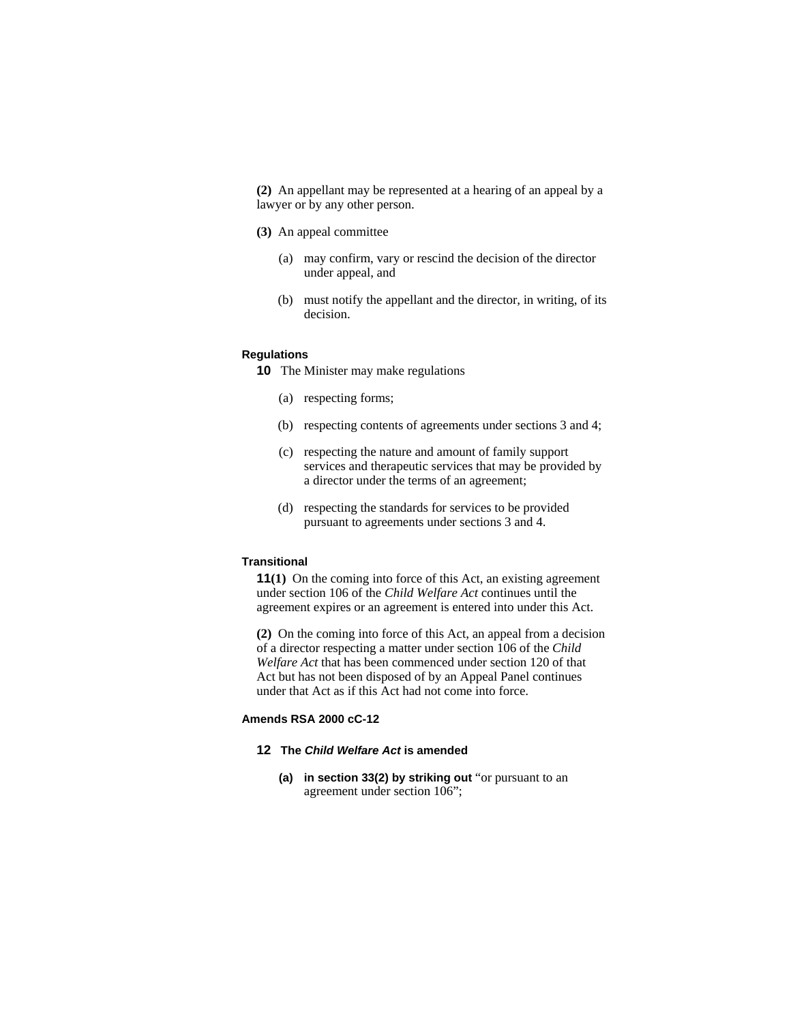**(2)** An appellant may be represented at a hearing of an appeal by a lawyer or by any other person.

- **(3)** An appeal committee
	- (a) may confirm, vary or rescind the decision of the director under appeal, and
	- (b) must notify the appellant and the director, in writing, of its decision.

#### **Regulations**

- **10** The Minister may make regulations
	- (a) respecting forms;
	- (b) respecting contents of agreements under sections 3 and 4;
	- (c) respecting the nature and amount of family support services and therapeutic services that may be provided by a director under the terms of an agreement;
	- (d) respecting the standards for services to be provided pursuant to agreements under sections 3 and 4.

#### **Transitional**

**11(1)** On the coming into force of this Act, an existing agreement under section 106 of the *Child Welfare Act* continues until the agreement expires or an agreement is entered into under this Act.

**(2)** On the coming into force of this Act, an appeal from a decision of a director respecting a matter under section 106 of the *Child Welfare Act* that has been commenced under section 120 of that Act but has not been disposed of by an Appeal Panel continues under that Act as if this Act had not come into force.

## **Amends RSA 2000 cC-12**

## **12 The** *Child Welfare Act* **is amended**

**(a) in section 33(2) by striking out** "or pursuant to an agreement under section 106";